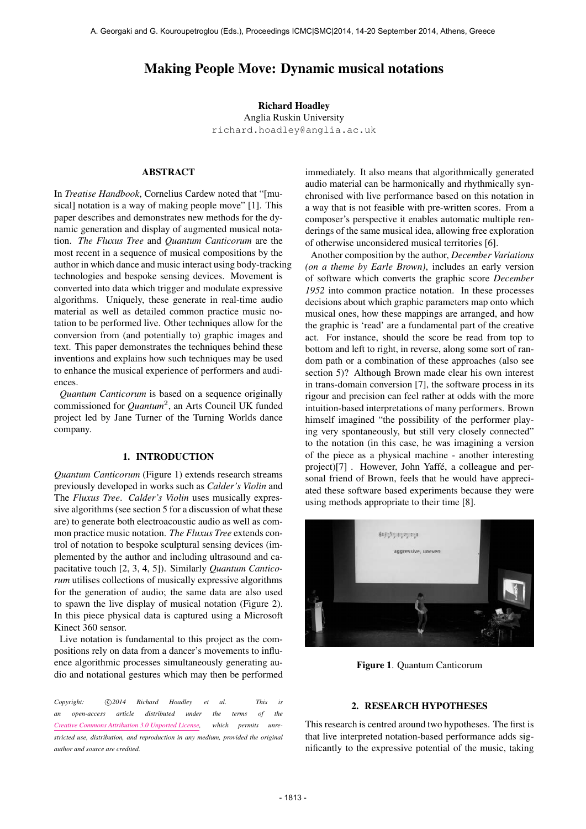# Making People Move: Dynamic musical notations

## Richard Hoadley Anglia Ruskin University [richard.hoadley@anglia.ac.uk](mailto:richard.hoadley@anglia.ac.uk)

## ABSTRACT

In *Treatise Handbook*, Cornelius Cardew noted that "[musical] notation is a way of making people move" [1]. This paper describes and demonstrates new methods for the dynamic generation and display of augmented musical notation. *The Fluxus Tree* and *Quantum Canticorum* are the most recent in a sequence of musical compositions by the author in which dance and music interact using body-tracking technologies and bespoke sensing devices. Movement is converted into data which trigger and modulate expressive algorithms. Uniquely, these generate in real-time audio material as well as detailed common practice music notation to be performed live. Other techniques allow for the conversion from (and potentially to) graphic images and text. This paper demonstrates the techniques behind these inventions and explains how such techniques may be used to enhance the musical experience of performers and audiences.

*Quantum Canticorum* is based on a sequence originally commissioned for *Quantum*<sup>2</sup> , an Arts Council UK funded project led by Jane Turner of the Turning Worlds dance company.

### 1. INTRODUCTION

*Quantum Canticorum* (Figure 1) extends research streams previously developed in works such as *Calder's Violin* and The *Fluxus Tree*. *Calder's Violin* uses musically expressive algorithms (see section 5 for a discussion of what these are) to generate both electroacoustic audio as well as common practice music notation. *The Fluxus Tree* extends control of notation to bespoke sculptural sensing devices (implemented by the author and including ultrasound and capacitative touch [2, 3, 4, 5]). Similarly *Quantum Canticorum* utilises collections of musically expressive algorithms for the generation of audio; the same data are also used to spawn the live display of musical notation (Figure 2). In this piece physical data is captured using a Microsoft Kinect 360 sensor.

Live notation is fundamental to this project as the compositions rely on data from a dancer's movements to influence algorithmic processes simultaneously generating audio and notational gestures which may then be performed

Copyright:  $\bigcirc$ 2014 Richard Hoadley et al. This is *an open-access article distributed under the terms of the [Creative Commons Attribution 3.0 Unported License,](http://creativecommons.org/licenses/by/3.0/) which permits unrestricted use, distribution, and reproduction in any medium, provided the original author and source are credited.*

immediately. It also means that algorithmically generated audio material can be harmonically and rhythmically synchronised with live performance based on this notation in a way that is not feasible with pre-written scores. From a composer's perspective it enables automatic multiple renderings of the same musical idea, allowing free exploration of otherwise unconsidered musical territories [6].

Another composition by the author, *December Variations (on a theme by Earle Brown)*, includes an early version of software which converts the graphic score *December 1952* into common practice notation. In these processes decisions about which graphic parameters map onto which musical ones, how these mappings are arranged, and how the graphic is 'read' are a fundamental part of the creative act. For instance, should the score be read from top to bottom and left to right, in reverse, along some sort of random path or a combination of these approaches (also see section 5)? Although Brown made clear his own interest in trans-domain conversion [7], the software process in its rigour and precision can feel rather at odds with the more intuition-based interpretations of many performers. Brown himself imagined "the possibility of the performer playing very spontaneously, but still very closely connected" to the notation (in this case, he was imagining a version of the piece as a physical machine - another interesting project)[7]. However, John Yaffé, a colleague and personal friend of Brown, feels that he would have appreciated these software based experiments because they were using methods appropriate to their time [8].



Figure 1. Quantum Canticorum

## 2. RESEARCH HYPOTHESES

This research is centred around two hypotheses. The first is that live interpreted notation-based performance adds significantly to the expressive potential of the music, taking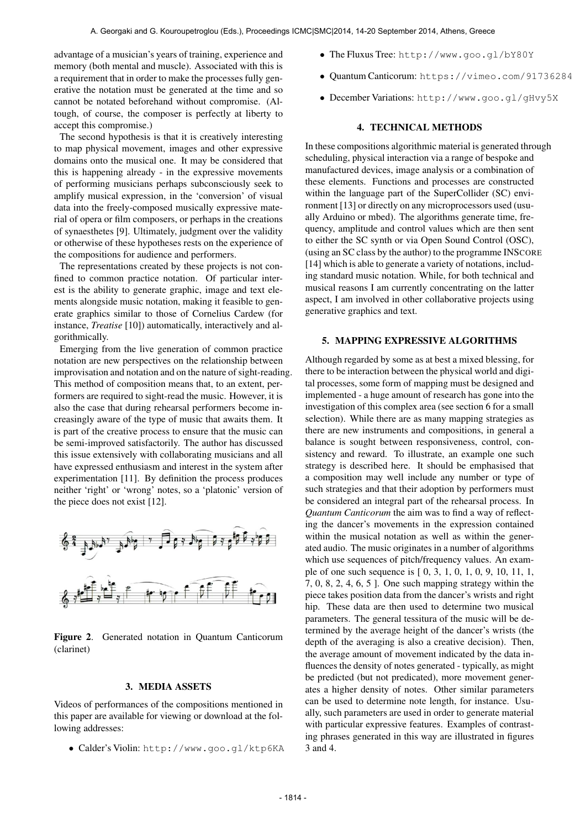advantage of a musician's years of training, experience and memory (both mental and muscle). Associated with this is a requirement that in order to make the processes fully generative the notation must be generated at the time and so cannot be notated beforehand without compromise. (Altough, of course, the composer is perfectly at liberty to accept this compromise.)

The second hypothesis is that it is creatively interesting to map physical movement, images and other expressive domains onto the musical one. It may be considered that this is happening already - in the expressive movements of performing musicians perhaps subconsciously seek to amplify musical expression, in the 'conversion' of visual data into the freely-composed musically expressive material of opera or film composers, or perhaps in the creations of synaesthetes [9]. Ultimately, judgment over the validity or otherwise of these hypotheses rests on the experience of the compositions for audience and performers.

The representations created by these projects is not confined to common practice notation. Of particular interest is the ability to generate graphic, image and text elements alongside music notation, making it feasible to generate graphics similar to those of Cornelius Cardew (for instance, *Treatise* [10]) automatically, interactively and algorithmically.

Emerging from the live generation of common practice notation are new perspectives on the relationship between improvisation and notation and on the nature of sight-reading. This method of composition means that, to an extent, performers are required to sight-read the music. However, it is also the case that during rehearsal performers become increasingly aware of the type of music that awaits them. It is part of the creative process to ensure that the music can be semi-improved satisfactorily. The author has discussed this issue extensively with collaborating musicians and all have expressed enthusiasm and interest in the system after experimentation [11]. By definition the process produces neither 'right' or 'wrong' notes, so a 'platonic' version of the piece does not exist [12].



Figure 2. Generated notation in Quantum Canticorum (clarinet)

#### 3. MEDIA ASSETS

Videos of performances of the compositions mentioned in this paper are available for viewing or download at the following addresses:

• Calder's Violin: <http://www.goo.gl/ktp6KA>

- The Fluxus Tree: <http://www.goo.gl/bY80Y>
- Quantum Canticorum: <https://vimeo.com/91736284>
- December Variations: <http://www.goo.gl/gHvy5X>

#### 4. TECHNICAL METHODS

In these compositions algorithmic material is generated through scheduling, physical interaction via a range of bespoke and manufactured devices, image analysis or a combination of these elements. Functions and processes are constructed within the language part of the SuperCollider (SC) environment [13] or directly on any microprocessors used (usually Arduino or mbed). The algorithms generate time, frequency, amplitude and control values which are then sent to either the SC synth or via Open Sound Control (OSC), (using an SC class by the author) to the programme INSCORE [14] which is able to generate a variety of notations, including standard music notation. While, for both technical and musical reasons I am currently concentrating on the latter aspect, I am involved in other collaborative projects using generative graphics and text.

### 5. MAPPING EXPRESSIVE ALGORITHMS

Although regarded by some as at best a mixed blessing, for there to be interaction between the physical world and digital processes, some form of mapping must be designed and implemented - a huge amount of research has gone into the investigation of this complex area (see section 6 for a small selection). While there are as many mapping strategies as there are new instruments and compositions, in general a balance is sought between responsiveness, control, consistency and reward. To illustrate, an example one such strategy is described here. It should be emphasised that a composition may well include any number or type of such strategies and that their adoption by performers must be considered an integral part of the rehearsal process. In *Quantum Canticorum* the aim was to find a way of reflecting the dancer's movements in the expression contained within the musical notation as well as within the generated audio. The music originates in a number of algorithms which use sequences of pitch/frequency values. An example of one such sequence is [ 0, 3, 1, 0, 1, 0, 9, 10, 11, 1, 7, 0, 8, 2, 4, 6, 5 ]. One such mapping strategy within the piece takes position data from the dancer's wrists and right hip. These data are then used to determine two musical parameters. The general tessitura of the music will be determined by the average height of the dancer's wrists (the depth of the averaging is also a creative decision). Then, the average amount of movement indicated by the data influences the density of notes generated - typically, as might be predicted (but not predicated), more movement generates a higher density of notes. Other similar parameters can be used to determine note length, for instance. Usually, such parameters are used in order to generate material with particular expressive features. Examples of contrasting phrases generated in this way are illustrated in figures 3 and 4.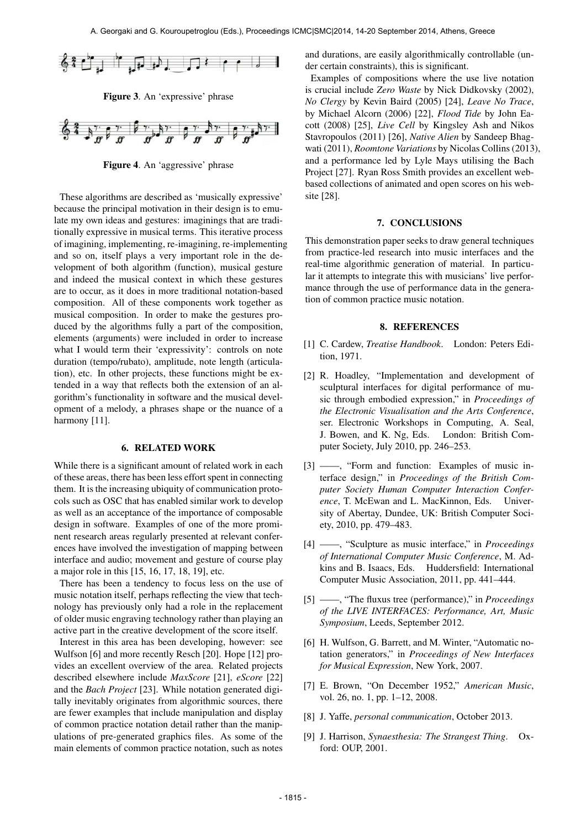

Figure 3. An 'expressive' phrase



Figure 4. An 'aggressive' phrase

These algorithms are described as 'musically expressive' because the principal motivation in their design is to emulate my own ideas and gestures: imaginings that are traditionally expressive in musical terms. This iterative process of imagining, implementing, re-imagining, re-implementing and so on, itself plays a very important role in the development of both algorithm (function), musical gesture and indeed the musical context in which these gestures are to occur, as it does in more traditional notation-based composition. All of these components work together as musical composition. In order to make the gestures produced by the algorithms fully a part of the composition, elements (arguments) were included in order to increase what I would term their 'expressivity': controls on note duration (tempo/rubato), amplitude, note length (articulation), etc. In other projects, these functions might be extended in a way that reflects both the extension of an algorithm's functionality in software and the musical development of a melody, a phrases shape or the nuance of a harmony [11].

### 6. RELATED WORK

While there is a significant amount of related work in each of these areas, there has been less effort spent in connecting them. It is the increasing ubiquity of communication protocols such as OSC that has enabled similar work to develop as well as an acceptance of the importance of composable design in software. Examples of one of the more prominent research areas regularly presented at relevant conferences have involved the investigation of mapping between interface and audio; movement and gesture of course play a major role in this [15, 16, 17, 18, 19], etc.

There has been a tendency to focus less on the use of music notation itself, perhaps reflecting the view that technology has previously only had a role in the replacement of older music engraving technology rather than playing an active part in the creative development of the score itself.

Interest in this area has been developing, however: see Wulfson [6] and more recently Resch [20]. Hope [12] provides an excellent overview of the area. Related projects described elsewhere include *MaxScore* [21], *eScore* [22] and the *Bach Project* [23]. While notation generated digitally inevitably originates from algorithmic sources, there are fewer examples that include manipulation and display of common practice notation detail rather than the manipulations of pre-generated graphics files. As some of the main elements of common practice notation, such as notes

and durations, are easily algorithmically controllable (under certain constraints), this is significant.

Examples of compositions where the use live notation is crucial include *Zero Waste* by Nick Didkovsky (2002), *No Clergy* by Kevin Baird (2005) [24], *Leave No Trace*, by Michael Alcorn (2006) [22], *Flood Tide* by John Eacott (2008) [25], *Live Cell* by Kingsley Ash and Nikos Stavropoulos (2011) [26], *Native Alien* by Sandeep Bhagwati (2011), *Roomtone Variations* by Nicolas Collins (2013), and a performance led by Lyle Mays utilising the Bach Project [27]. Ryan Ross Smith provides an excellent webbased collections of animated and open scores on his website [28].

#### 7. CONCLUSIONS

This demonstration paper seeks to draw general techniques from practice-led research into music interfaces and the real-time algorithmic generation of material. In particular it attempts to integrate this with musicians' live performance through the use of performance data in the generation of common practice music notation.

#### 8. REFERENCES

- [1] C. Cardew, *Treatise Handbook*. London: Peters Edition, 1971.
- [2] R. Hoadley, "Implementation and development of sculptural interfaces for digital performance of music through embodied expression," in *Proceedings of the Electronic Visualisation and the Arts Conference*, ser. Electronic Workshops in Computing, A. Seal, J. Bowen, and K. Ng, Eds. London: British Computer Society, July 2010, pp. 246–253.
- [3] ——, "Form and function: Examples of music interface design," in *Proceedings of the British Computer Society Human Computer Interaction Conference*, T. McEwan and L. MacKinnon, Eds. University of Abertay, Dundee, UK: British Computer Society, 2010, pp. 479–483.
- [4] ——, "Sculpture as music interface," in *Proceedings of International Computer Music Conference*, M. Adkins and B. Isaacs, Eds. Huddersfield: International Computer Music Association, 2011, pp. 441–444.
- [5] ——, "The fluxus tree (performance)," in *Proceedings of the LIVE INTERFACES: Performance, Art, Music Symposium*, Leeds, September 2012.
- [6] H. Wulfson, G. Barrett, and M. Winter, "Automatic notation generators," in *Proceedings of New Interfaces for Musical Expression*, New York, 2007.
- [7] E. Brown, "On December 1952," *American Music*, vol. 26, no. 1, pp. 1–12, 2008.
- [8] J. Yaffe, *personal communication*, October 2013.
- [9] J. Harrison, *Synaesthesia: The Strangest Thing*. Oxford: OUP, 2001.